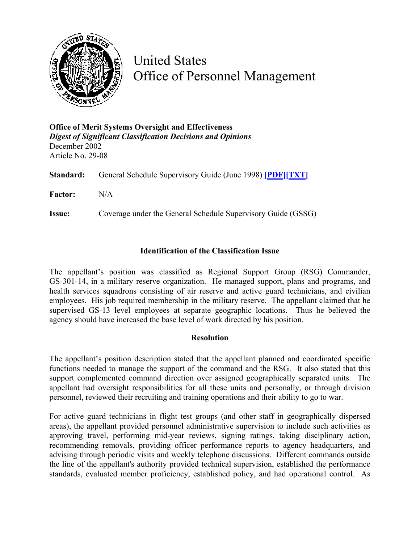

United States Office of Personnel Management

**Office of Merit Systems Oversight and Effectiveness**  *Digest of Significant Classification Decisions and Opinions* December 2002 Article No. 29-08

**Standard:** General Schedule Supervisory Guide (June 1998) **[\[PDF\]](http://www.opm.gov/fedclass/gssg.pdf)[\[TXT\]](http://www.opm.gov/fedclass/text/gssg.w51)**

**Factor:** N/A

**Issue:** Coverage under the General Schedule Supervisory Guide (GSSG)

## **Identification of the Classification Issue**

The appellant's position was classified as Regional Support Group (RSG) Commander, GS-301-14, in a military reserve organization. He managed support, plans and programs, and health services squadrons consisting of air reserve and active guard technicians, and civilian employees. His job required membership in the military reserve. The appellant claimed that he supervised GS-13 level employees at separate geographic locations. Thus he believed the agency should have increased the base level of work directed by his position.

## **Resolution**

The appellant's position description stated that the appellant planned and coordinated specific functions needed to manage the support of the command and the RSG. It also stated that this support complemented command direction over assigned geographically separated units. The appellant had oversight responsibilities for all these units and personally, or through division personnel, reviewed their recruiting and training operations and their ability to go to war.

For active guard technicians in flight test groups (and other staff in geographically dispersed areas), the appellant provided personnel administrative supervision to include such activities as approving travel, performing mid-year reviews, signing ratings, taking disciplinary action, recommending removals, providing officer performance reports to agency headquarters, and advising through periodic visits and weekly telephone discussions. Different commands outside the line of the appellant's authority provided technical supervision, established the performance standards, evaluated member proficiency, established policy, and had operational control. As